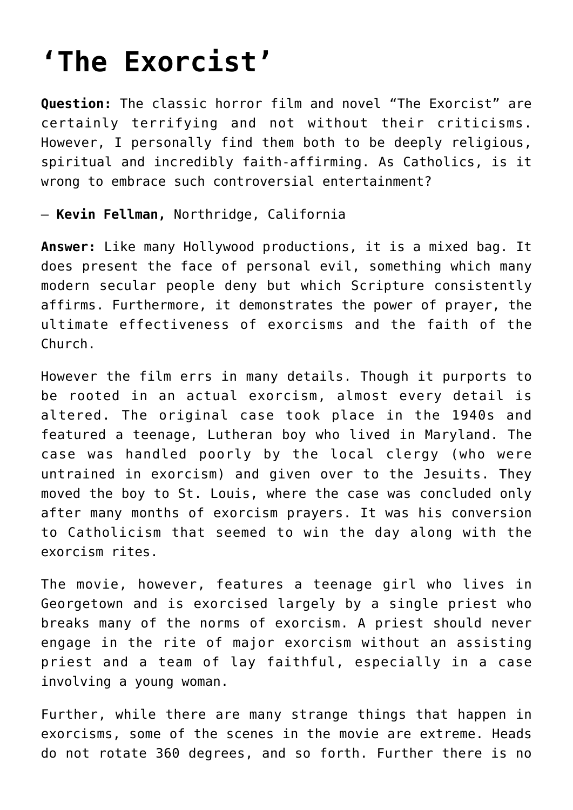## **['The Exorcist'](https://www.osvnews.com/2018/10/24/the-exorcist/)**

**Question:** The classic horror film and novel "The Exorcist" are certainly terrifying and not without their criticisms. However, I personally find them both to be deeply religious, spiritual and incredibly faith-affirming. As Catholics, is it wrong to embrace such controversial entertainment?

— **Kevin Fellman,** Northridge, California

**Answer:** Like many Hollywood productions, it is a mixed bag. It does present the face of personal evil, something which many modern secular people deny but which Scripture consistently affirms. Furthermore, it demonstrates the power of prayer, the ultimate effectiveness of exorcisms and the faith of the Church.

However the film errs in many details. Though it purports to be rooted in an actual exorcism, almost every detail is altered. The original case took place in the 1940s and featured a teenage, Lutheran boy who lived in Maryland. The case was handled poorly by the local clergy (who were untrained in exorcism) and given over to the Jesuits. They moved the boy to St. Louis, where the case was concluded only after many months of exorcism prayers. It was his conversion to Catholicism that seemed to win the day along with the exorcism rites.

The movie, however, features a teenage girl who lives in Georgetown and is exorcised largely by a single priest who breaks many of the norms of exorcism. A priest should never engage in the rite of major exorcism without an assisting priest and a team of lay faithful, especially in a case involving a young woman.

Further, while there are many strange things that happen in exorcisms, some of the scenes in the movie are extreme. Heads do not rotate 360 degrees, and so forth. Further there is no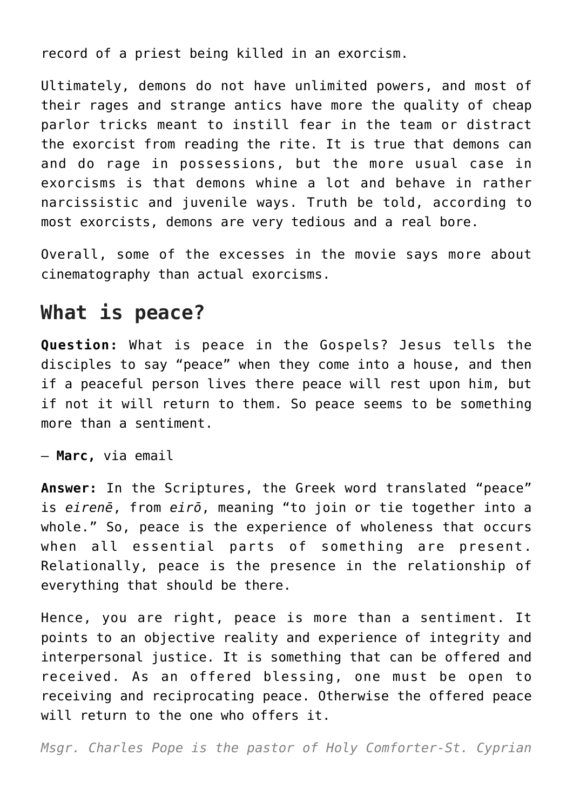record of a priest being killed in an exorcism.

Ultimately, demons do not have unlimited powers, and most of their rages and strange antics have more the quality of cheap parlor tricks meant to instill fear in the team or distract the exorcist from reading the rite. It is true that demons can and do rage in possessions, but the more usual case in exorcisms is that demons whine a lot and behave in rather narcissistic and juvenile ways. Truth be told, according to most exorcists, demons are very tedious and a real bore.

Overall, some of the excesses in the movie says more about cinematography than actual exorcisms.

## **What is peace?**

**Question:** What is peace in the Gospels? Jesus tells the disciples to say "peace" when they come into a house, and then if a peaceful person lives there peace will rest upon him, but if not it will return to them. So peace seems to be something more than a sentiment.

— **Marc,** via email

**Answer:** In the Scriptures, the Greek word translated "peace" is *eirenē*, from *eirō*, meaning "to join or tie together into a whole." So, peace is the experience of wholeness that occurs when all essential parts of something are present. Relationally, peace is the presence in the relationship of everything that should be there.

Hence, you are right, peace is more than a sentiment. It points to an objective reality and experience of integrity and interpersonal justice. It is something that can be offered and received. As an offered blessing, one must be open to receiving and reciprocating peace. Otherwise the offered peace will return to the one who offers it.

*Msgr. Charles Pope is the pastor of Holy Comforter-St. Cyprian*